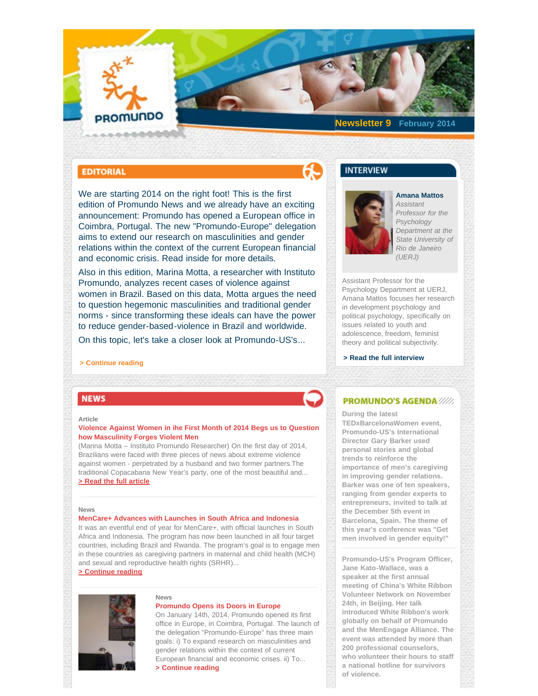# <span id="page-0-0"></span>PROMUNDO

**Newsletter 9 February 2014**

## **EDITORIAL**

We are starting 2014 on the right foot! This is the first edition of Promundo News and we already have an exciting announcement: Promundo has opened a European office in Coimbra, Portugal. The new "Promundo-Europe" delegation aims to extend our research on masculinities and gender relations within the context of the current European financial and economic crisis. Read inside for more details.

Also in this edition, Marina Motta, a researcher with Instituto Promundo, analyzes recent cases of violence against women in Brazil. Based on this data, Motta argues the need to question hegemonic masculinities and traditional gender norms - since transforming these ideals can have the power to reduce gender-based-violence in Brazil and worldwide.

On this topic, let's take a closer look at Promundo-US's...

## **[> Continue reading](http://www.promundo.org.br/en/news/editorial-promundo-news-9th-edition/)**

## **NEWS**

#### **Article**

## **Violence Against Women in ihe First Month of 2014 Begs us to Question how Masculinity Forges Violent Men**

[\(Marina Motta – Instituto Promundo Researcher\) On the first day of 2014,](#page-0-0) [Brazilians were faced with three pieces of news about extreme violence](#page-0-0) [against women - perpetrated by a husband and two former partners.The](#page-0-0) [traditional Copacabana New Year's party, one of the most beautiful and...](#page-0-0) **[> Read the full article](http://www.promundo.org.br/en/news/violence-against-women-in-ihe-first-month-of-2014-begs-us-to-question-how-masculinity-forges-violent-men/)**

#### **News**

## **MenCare+ Advances with Launches in South Africa and Indonesia**

[It was an eventful end of year for MenCare+, with official launches in South](#page-0-0) [Africa and Indonesia. The program has now been launched in all four target](#page-0-0) [countries, including Brazil and Rwanda. The program's goal is to engage men](#page-0-0) [in these countries as caregiving partners in maternal and child health \(MCH\)](#page-0-0) [and sexual and reproductive health rights \(SRHR\)...](#page-0-0)

## **[> Continue reading](http://www.promundo.org.br/en/news/mencare-advances-with-launches-in-south-africa-and-indonesia/)**



## **News**

## **Promundo Opens its Doors in Europe**

[On January 14th, 2014, Promundo opened its first](#page-0-0) [office in Europe, in Coimbra, Portugal. The launch of](#page-0-0) [the delegation "Promundo-Europe" has three main](#page-0-0) [goals: i\) To expand research on masculinities and](#page-0-0) [gender relations within the context of current](#page-0-0) [European financial and economic crises. ii\) To...](#page-0-0) **[> Continue reading](http://www.promundo.org.br/en/news/promundo-opens-its-doors-in-europe/)**

## **INTERVIEW**



## *Assistant Professor for the Psychology Department at the State University of Rio de Janeiro*

**Amana Mattos**

Assistant Professor for the Psychology Department at UERJ, Amana Mattos focuses her research in development psychology and political psychology, specifically on issues related to youth and adolescence, freedom, feminist theory and political subjectivity.

*(UERJ)*

 **[> Read the full interview](http://www.promundo.org.br/en/news/interview-with-amana-mattos/)**

## **PROMUNDO'S AGENDA ////**

#### **During the latest**

**TEDxBarcelonaWomen event, Promundo-US's International Director Gary Barker used personal stories and global trends to reinforce the importance of men's caregiving in improving gender relations. Barker was one of ten speakers, ranging from gender experts to entrepreneurs, invited to talk at the December 5th event in Barcelona, Spain. The theme of this year's conference was "Get men involved in gender equity!"**

**Promundo-US's Program Officer, Jane Kato-Wallace, was a speaker at the first annual meeting of China's White Ribbon Volunteer Network on November 24th, in Beijing. Her talk introduced White Ribbon's work globally on behalf of Promundo and the MenEngage Alliance. The event was attended by more than 200 professional counselors, who volunteer their hours to staff a national hotline for survivors of violence.**